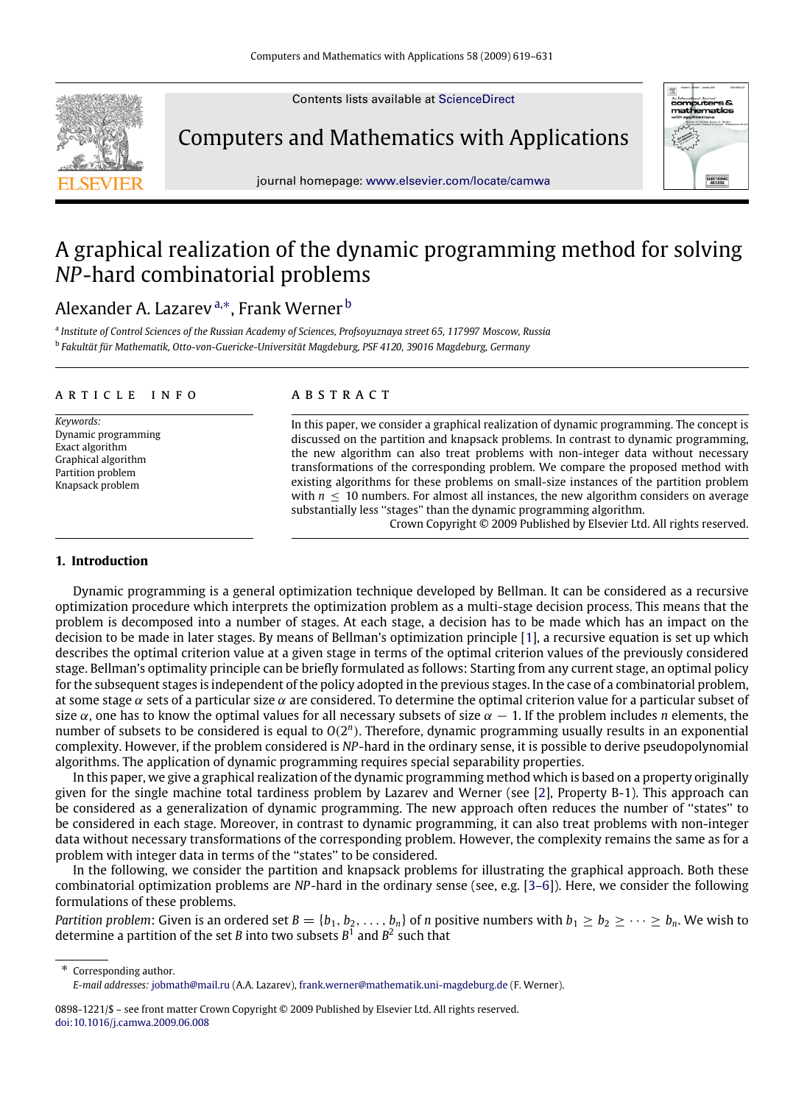Contents lists available at [ScienceDirect](http://www.elsevier.com/locate/camwa)

Computers and Mathematics with Applications



journal homepage: [www.elsevier.com/locate/camwa](http://www.elsevier.com/locate/camwa)

# A graphical realization of the dynamic programming method for solving *NP*-hard combinatorial problems

# Alexander A. Lazarev <sup>[a,](#page-0-0)</sup>\*, Frank Werner <sup>[b](#page-0-2)</sup>

<span id="page-0-2"></span><span id="page-0-0"></span>a *Institute of Control Sciences of the Russian Academy of Sciences, Profsoyuznaya street 65, 117997 Moscow, Russia* b *Fakultät für Mathematik, Otto-von-Guericke-Universität Magdeburg, PSF 4120, 39016 Magdeburg, Germany*

#### a r t i c l e i n f o

*Keywords:* Dynamic programming Exact algorithm Graphical algorithm Partition problem Knapsack problem

# a b s t r a c t

In this paper, we consider a graphical realization of dynamic programming. The concept is discussed on the partition and knapsack problems. In contrast to dynamic programming, the new algorithm can also treat problems with non-integer data without necessary transformations of the corresponding problem. We compare the proposed method with existing algorithms for these problems on small-size instances of the partition problem with  $n \leq 10$  numbers. For almost all instances, the new algorithm considers on average substantially less ''stages'' than the dynamic programming algorithm.

Crown Copyright © 2009 Published by Elsevier Ltd. All rights reserved.

# **1. Introduction**

Dynamic programming is a general optimization technique developed by Bellman. It can be considered as a recursive optimization procedure which interprets the optimization problem as a multi-stage decision process. This means that the problem is decomposed into a number of stages. At each stage, a decision has to be made which has an impact on the decision to be made in later stages. By means of Bellman's optimization principle [\[1\]](#page-12-0), a recursive equation is set up which describes the optimal criterion value at a given stage in terms of the optimal criterion values of the previously considered stage. Bellman's optimality principle can be briefly formulated as follows: Starting from any current stage, an optimal policy for the subsequent stages is independent of the policy adopted in the previous stages. In the case of a combinatorial problem, at some stage  $\alpha$  sets of a particular size  $\alpha$  are considered. To determine the optimal criterion value for a particular subset of size  $\alpha$ , one has to know the optimal values for all necessary subsets of size  $\alpha - 1$ . If the problem includes *n* elements, the number of subsets to be considered is equal to  $O(2^n)$ . Therefore, dynamic programming usually results in an exponential complexity. However, if the problem considered is *NP*-hard in the ordinary sense, it is possible to derive pseudopolynomial algorithms. The application of dynamic programming requires special separability properties.

In this paper, we give a graphical realization of the dynamic programming method which is based on a property originally given for the single machine total tardiness problem by Lazarev and Werner (see [\[2\]](#page-12-1), Property B-1). This approach can be considered as a generalization of dynamic programming. The new approach often reduces the number of ''states'' to be considered in each stage. Moreover, in contrast to dynamic programming, it can also treat problems with non-integer data without necessary transformations of the corresponding problem. However, the complexity remains the same as for a problem with integer data in terms of the ''states'' to be considered.

In the following, we consider the partition and knapsack problems for illustrating the graphical approach. Both these combinatorial optimization problems are *NP*-hard in the ordinary sense (see, e.g. [\[3–6\]](#page-12-2)). Here, we consider the following formulations of these problems.

*Partition problem:* Given is an ordered set  $B = \{b_1, b_2, \ldots, b_n\}$  of *n* positive numbers with  $b_1 \geq b_2 \geq \cdots \geq b_n$ . We wish to determine a partition of the set *B* into two subsets *B* 1 and *B* 2 such that

<span id="page-0-1"></span>∗ Corresponding author. *E-mail addresses:* [jobmath@mail.ru](mailto:jobmath@mail.ru) (A.A. Lazarev), [frank.werner@mathematik.uni-magdeburg.de](mailto:frank.werner@mathematik.uni-magdeburg.de) (F. Werner).

<sup>0898-1221/\$ –</sup> see front matter Crown Copyright © 2009 Published by Elsevier Ltd. All rights reserved. [doi:10.1016/j.camwa.2009.06.008](http://dx.doi.org/10.1016/j.camwa.2009.06.008)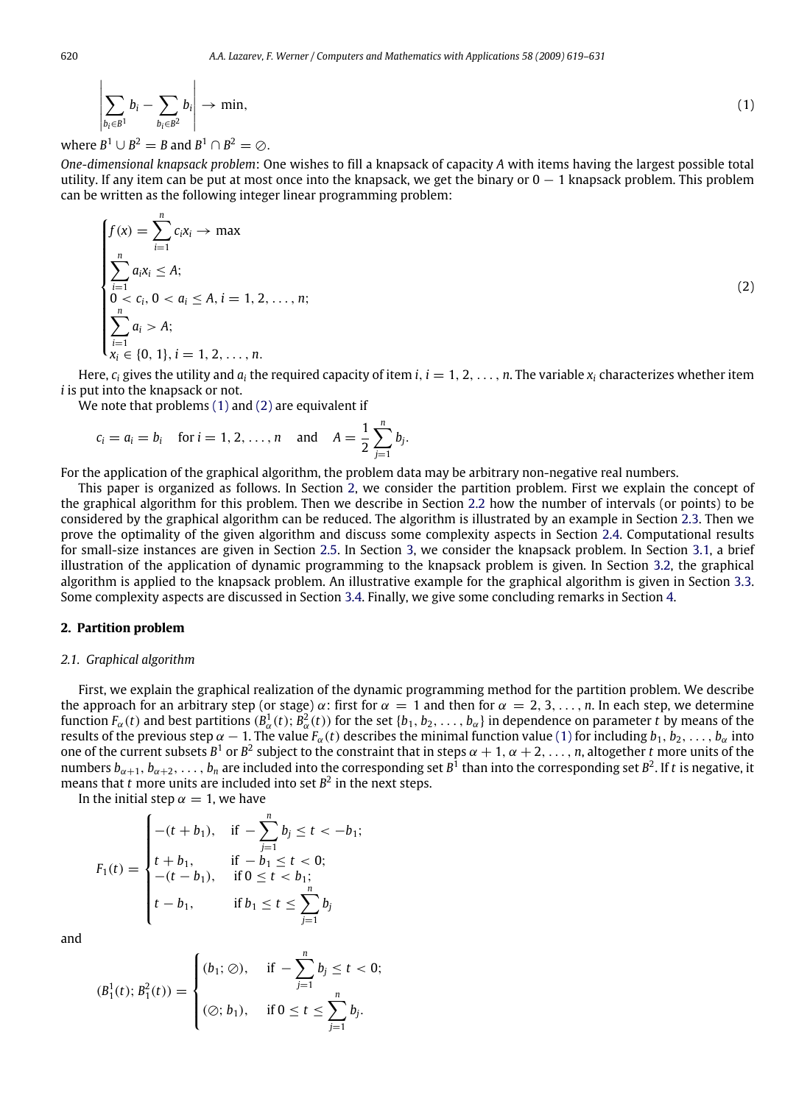<span id="page-1-0"></span>
$$
\left|\sum_{b_i\in B^1}b_i-\sum_{b_i\in B^2}b_i\right|\to\min,\tag{1}
$$

where  $B^1 \cup B^2 = B$  and  $B^1 \cap B^2 = \emptyset$ .

*One-dimensional knapsack problem*: One wishes to fill a knapsack of capacity *A* with items having the largest possible total utility. If any item can be put at most once into the knapsack, we get the binary or  $0 - 1$  knapsack problem. This problem can be written as the following integer linear programming problem:

<span id="page-1-1"></span>
$$
\begin{cases}\nf(x) = \sum_{i=1}^{n} c_i x_i \to \max \\
\sum_{i=1}^{n} a_i x_i \le A; \\
0 < c_i, 0 < a_i \le A, i = 1, 2, ..., n; \\
\sum_{i=1}^{n} a_i > A; \\
x_i \in \{0, 1\}, i = 1, 2, ..., n.\n\end{cases}
$$
\n(2)

Here,  $c_i$  gives the utility and  $a_i$ , the required capacity of item *i*,  $i = 1, 2, \ldots, n$ . The variable  $x_i$  characterizes whether item *i* is put into the knapsack or not.

We note that problems [\(1\)](#page-1-0) and [\(2\)](#page-1-1) are equivalent if

$$
c_i = a_i = b_i
$$
 for  $i = 1, 2, ..., n$  and  $A = \frac{1}{2} \sum_{j=1}^{n} b_j$ .

For the application of the graphical algorithm, the problem data may be arbitrary non-negative real numbers.

This paper is organized as follows. In Section [2,](#page-1-2) we consider the partition problem. First we explain the concept of the graphical algorithm for this problem. Then we describe in Section [2.2](#page-3-0) how the number of intervals (or points) to be considered by the graphical algorithm can be reduced. The algorithm is illustrated by an example in Section [2.3.](#page-4-0) Then we prove the optimality of the given algorithm and discuss some complexity aspects in Section [2.4.](#page-5-0) Computational results for small-size instances are given in Section [2.5.](#page-7-0) In Section [3,](#page-8-0) we consider the knapsack problem. In Section [3.1,](#page-8-1) a brief illustration of the application of dynamic programming to the knapsack problem is given. In Section [3.2,](#page-8-2) the graphical algorithm is applied to the knapsack problem. An illustrative example for the graphical algorithm is given in Section [3.3.](#page-9-0) Some complexity aspects are discussed in Section [3.4.](#page-10-0) Finally, we give some concluding remarks in Section [4.](#page-11-0)

#### <span id="page-1-2"></span>**2. Partition problem**

#### *2.1. Graphical algorithm*

First, we explain the graphical realization of the dynamic programming method for the partition problem. We describe the approach for an arbitrary step (or stage)  $\alpha$ : first for  $\alpha = 1$  and then for  $\alpha = 2, 3, \ldots, n$ . In each step, we determine function  $F_\alpha(t)$  and best partitions  $(B_\alpha^1(t); B_\alpha^2(t))$  for the set  $\{b_1, b_2, \ldots, b_\alpha\}$  in dependence on parameter *t* by means of the results of the previous step  $\alpha - 1$ . The value  $F_\alpha(t)$  describes the minimal function value [\(1\)](#page-1-0) for including  $b_1, b_2, \ldots, b_\alpha$  into one of the current subsets  $B^1$  or  $B^2$  subject to the constraint that in steps  $\alpha + 1, \alpha + 2, \ldots, n$ , altogether *t* more units of the numbers  $b_{\alpha+1}, b_{\alpha+2}, \ldots, b_n$  are included into the corresponding set  $B^1$  than into the corresponding set  $B^2$ . If t is negative, it means that  $t$  more units are included into set  $B^2$  in the next steps.

In the initial step  $\alpha = 1$ , we have

$$
F_1(t) = \begin{cases} -(t+b_1), & \text{if } -\sum_{j=1}^n b_j \le t < -b_1; \\ t+b_1, & \text{if } -b_1 \le t < 0; \\ -(t-b_1), & \text{if } 0 \le t < b_1; \\ t-b_1, & \text{if } b_1 \le t \le \sum_{j=1}^n b_j \end{cases}
$$

and

$$
(B_1^1(t); B_1^2(t)) = \begin{cases} (b_1; \oslash), & \text{if } -\sum_{j=1}^n b_j \le t < 0; \\ (\oslash; b_1), & \text{if } 0 \le t \le \sum_{j=1}^n b_j. \end{cases}
$$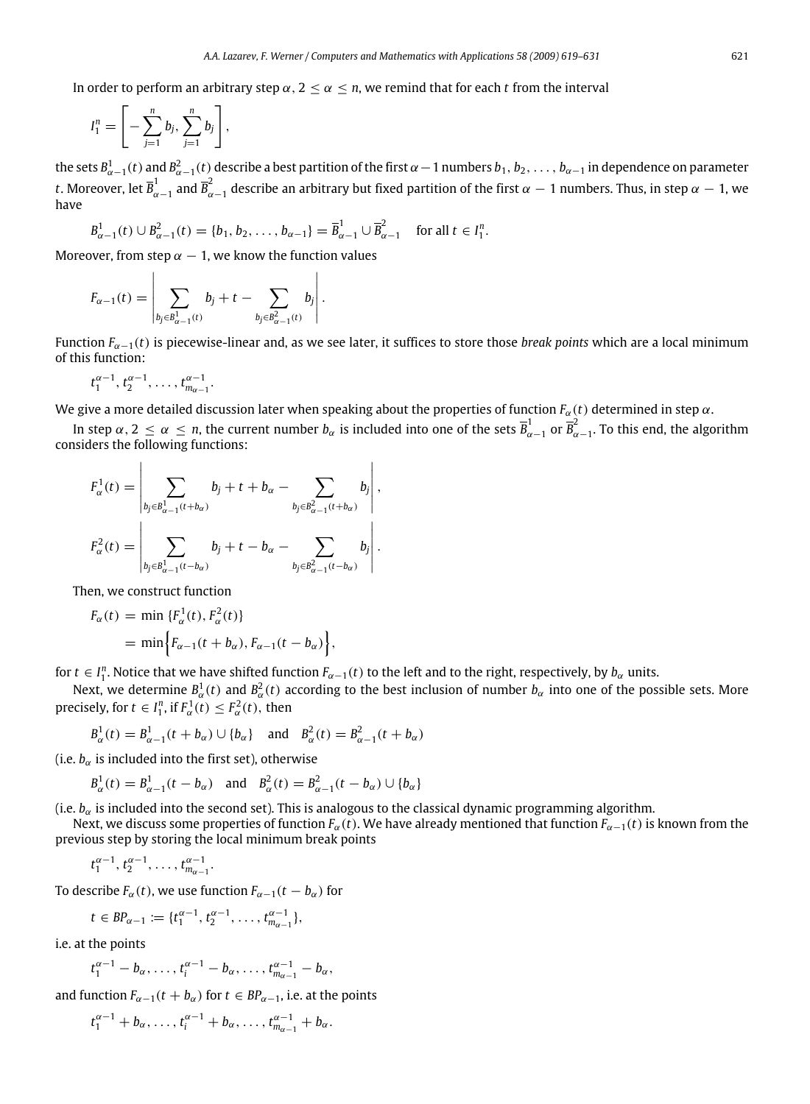In order to perform an arbitrary step  $\alpha$ ,  $2 \leq \alpha \leq n$ , we remind that for each *t* from the interval

$$
I_1^n=\left[-\sum_{j=1}^n b_j,\sum_{j=1}^n b_j\right],
$$

the sets  $B^1_{\alpha-1}(t)$  and  $B^2_{\alpha-1}(t)$  describe a best partition of the first  $\alpha-1$  numbers  $b_1, b_2, \ldots, b_{\alpha-1}$  in dependence on parameter t. Moreover, let  $\overline{B}_{\alpha-1}^1$  and  $\overline{B}_{\alpha-1}^2$  describe an arbitrary but fixed partition of the first  $\alpha-1$  numbers. Thus, in step  $\alpha-1$ , we have

$$
B_{\alpha-1}^1(t) \cup B_{\alpha-1}^2(t) = \{b_1, b_2, \dots, b_{\alpha-1}\} = \overline{B}_{\alpha-1}^1 \cup \overline{B}_{\alpha-1}^2 \quad \text{for all } t \in I_1^n.
$$

Moreover, from step  $\alpha - 1$ , we know the function values

$$
F_{\alpha-1}(t) = \left| \sum_{b_j \in B_{\alpha-1}^1(t)} b_j + t - \sum_{b_j \in B_{\alpha-1}^2(t)} b_j \right|.
$$

Function *F*α−1(*t*) is piecewise-linear and, as we see later, it suffices to store those *break points* which are a local minimum of this function:

$$
t_1^{\alpha-1}, t_2^{\alpha-1}, \ldots, t_{m_{\alpha-1}}^{\alpha-1}.
$$

We give a more detailed discussion later when speaking about the properties of function  $F_\alpha(t)$  determined in step  $\alpha$ .

In step  $\alpha$ ,  $2 \le \alpha \le n$ , the current number  $b_\alpha$  is included into one of the sets  $\overline{B}_{\alpha-1}^1$  or  $\overline{B}_{\alpha-1}^2$ . To this end, the algorithm considers the following functions:

$$
F_{\alpha}^{1}(t) = \left| \sum_{b_{j} \in B_{\alpha-1}^{1}(t+b_{\alpha})} b_{j} + t + b_{\alpha} - \sum_{b_{j} \in B_{\alpha-1}^{2}(t+b_{\alpha})} b_{j} \right|,
$$
  

$$
F_{\alpha}^{2}(t) = \left| \sum_{b_{j} \in B_{\alpha-1}^{1}(t-b_{\alpha})} b_{j} + t - b_{\alpha} - \sum_{b_{j} \in B_{\alpha-1}^{2}(t-b_{\alpha})} b_{j} \right|.
$$

Then, we construct function

$$
F_{\alpha}(t) = \min \{F_{\alpha}^1(t), F_{\alpha}^2(t)\}
$$
  
= 
$$
\min \Big\{F_{\alpha-1}(t+b_{\alpha}), F_{\alpha-1}(t-b_{\alpha})\Big\},\
$$

for  $t \in I_1^n$ . Notice that we have shifted function  $F_{\alpha-1}(t)$  to the left and to the right, respectively, by  $b_\alpha$  units.

Next, we determine  $B^1_\alpha(t)$  and  $B^2_\alpha(t)$  according to the best inclusion of number  $b_\alpha$  into one of the possible sets. More precisely, for  $t \in I_1^n$ , if  $F_\alpha^1(t) \leq F_\alpha^2(t)$ , then

$$
B_{\alpha}^{1}(t) = B_{\alpha-1}^{1}(t + b_{\alpha}) \cup \{b_{\alpha}\}\
$$
 and  $B_{\alpha}^{2}(t) = B_{\alpha-1}^{2}(t + b_{\alpha})$ 

(i.e.  $b_{\alpha}$  is included into the first set), otherwise

$$
B_{\alpha}^{1}(t) = B_{\alpha-1}^{1}(t - b_{\alpha})
$$
 and  $B_{\alpha}^{2}(t) = B_{\alpha-1}^{2}(t - b_{\alpha}) \cup \{b_{\alpha}\}\$ 

(i.e.  $b_{\alpha}$  is included into the second set). This is analogous to the classical dynamic programming algorithm.

Next, we discuss some properties of function  $F_\alpha(t)$ . We have already mentioned that function  $F_{\alpha-1}(t)$  is known from the previous step by storing the local minimum break points

$$
t_1^{\alpha-1}, t_2^{\alpha-1}, \ldots, t_{m_{\alpha-1}}^{\alpha-1}.
$$

To describe  $F_\alpha(t)$ , we use function  $F_{\alpha-1}(t - b_\alpha)$  for

$$
t\in BP_{\alpha-1}:=\{t_1^{\alpha-1},\, t_2^{\alpha-1},\,\ldots,\, t_{m_{\alpha-1}}^{\alpha-1}\},
$$

i.e. at the points

$$
t_1^{\alpha-1} - b_\alpha, \ldots, t_i^{\alpha-1} - b_\alpha, \ldots, t_{m_{\alpha-1}}^{\alpha-1} - b_\alpha,
$$

and function  $F_{\alpha-1}(t + b_{\alpha})$  for  $t \in BP_{\alpha-1}$ , i.e. at the points

$$
t_1^{\alpha-1}+b_{\alpha},\ldots,t_i^{\alpha-1}+b_{\alpha},\ldots,t_{m_{\alpha-1}}^{\alpha-1}+b_{\alpha}.
$$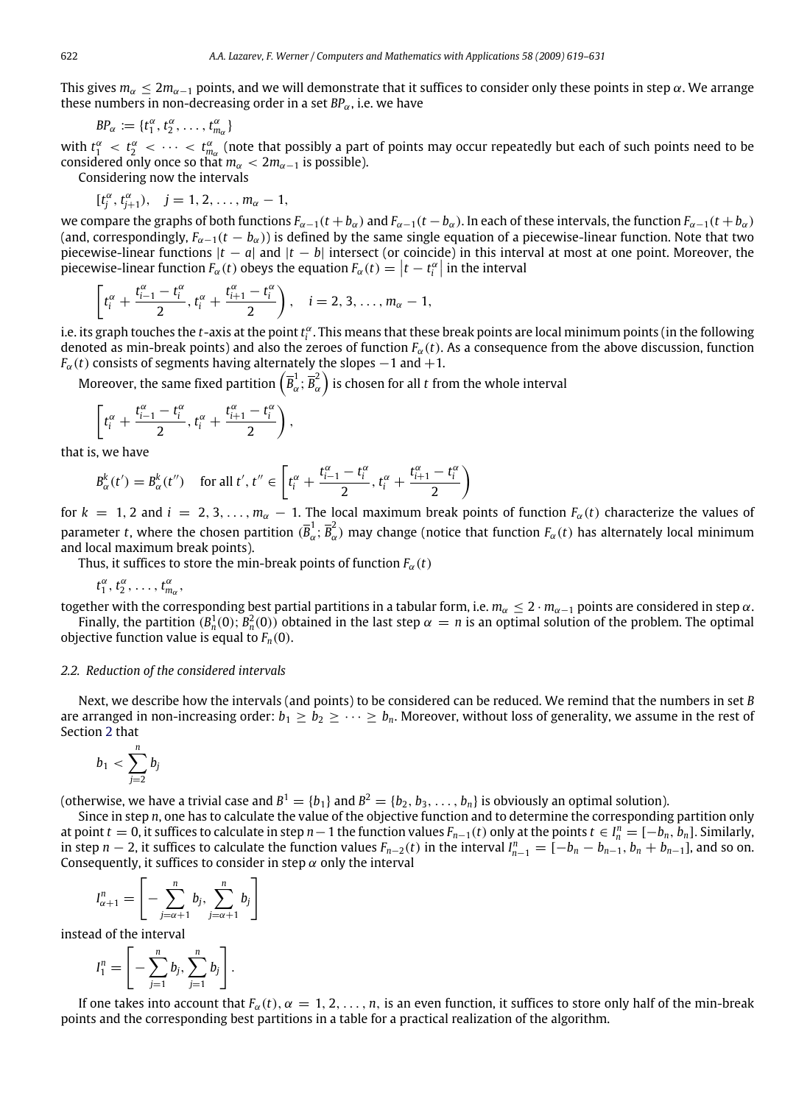This gives  $m_\alpha \leq 2m_{\alpha-1}$  points, and we will demonstrate that it suffices to consider only these points in step  $\alpha$ . We arrange these numbers in non-decreasing order in a set  $BP_\alpha$ , i.e. we have

 $BP_\alpha := \{t_1^\alpha, t_2^\alpha, \ldots, t_{m_\alpha}^\alpha\}$ 

with  $t_1^\alpha < t_2^\alpha < \cdots < t_{m_\alpha}^\alpha$  (note that possibly a part of points may occur repeatedly but each of such points need to be considered only once so that  $m_\alpha < 2m_{\alpha-1}$  is possible).

Considering now the intervals

 $[t_j^{\alpha}, t_{j+1}^{\alpha}), \quad j = 1, 2, ..., m_{\alpha} - 1,$ 

we compare the graphs of both functions  $F_{\alpha-1}(t+b_\alpha)$  and  $F_{\alpha-1}(t-b_\alpha)$ . In each of these intervals, the function  $F_{\alpha-1}(t+b_\alpha)$ (and, correspondingly, *F*α−1(*t* − *b*α)) is defined by the same single equation of a piecewise-linear function. Note that two piecewise-linear functions |*t* − *a*| and |*t* − *b*| intersect (or coincide) in this interval at most at one point. Moreover, the piecewise-linear function  $F_\alpha(t)$  obeys the equation  $F_\alpha(t) = \left| t - t_i^\alpha \right|$  in the interval

$$
\left[t_i^{\alpha} + \frac{t_{i-1}^{\alpha} - t_i^{\alpha}}{2}, t_i^{\alpha} + \frac{t_{i+1}^{\alpha} - t_i^{\alpha}}{2}\right), \quad i = 2, 3, \ldots, m_{\alpha} - 1,
$$

i.e. its graph touches the *t*-axis at the point *t* α *i* . This means that these break points are local minimum points (in the following denoted as min-break points) and also the zeroes of function  $F_\alpha(t)$ . As a consequence from the above discussion, function  $F_\alpha(t)$  consists of segments having alternately the slopes  $-1$  and  $+1$ .

Moreover, the same fixed partition  $\left(\overline{B}_{\alpha}^1\right)$  $\frac{1}{\alpha}$ ;  $\overline{B}_{\alpha}^{2}$  $\left(\begin{smallmatrix} 2 \ \alpha \end{smallmatrix}\right)$  is chosen for all *t* from the whole interval

$$
\left[t_i^\alpha+\frac{t_{i-1}^\alpha-t_i^\alpha}{2},t_i^\alpha+\frac{t_{i+1}^\alpha-t_i^\alpha}{2}\right),
$$

that is, we have

$$
B_{\alpha}^{k}(t') = B_{\alpha}^{k}(t'') \quad \text{ for all } t', t'' \in \left[ t_i^{\alpha} + \frac{t_{i-1}^{\alpha} - t_i^{\alpha}}{2}, t_i^{\alpha} + \frac{t_{i+1}^{\alpha} - t_i^{\alpha}}{2} \right)
$$

for  $k = 1, 2$  and  $i = 2, 3, \ldots, m_\alpha - 1$ . The local maximum break points of function  $F_\alpha(t)$  characterize the values of parameter *t*, where the chosen partition  $(\overline{B}_{\alpha}^1)$  $\frac{1}{\alpha}$ ;  $\overline{B}_{\alpha}^{2}$  $\tilde{a}_{\alpha}$ ) may change (notice that function  $F_{\alpha}(t)$  has alternately local minimum and local maximum break points).

Thus, it suffices to store the min-break points of function  $F_\alpha(t)$ 

$$
t_1^{\alpha}, t_2^{\alpha}, \ldots, t_{m_{\alpha}}^{\alpha},
$$

together with the corresponding best partial partitions in a tabular form, i.e.  $m_\alpha\leq 2\cdot m_{\alpha-1}$  points are considered in step  $\alpha$ .

Finally, the partition  $(B_n^1(0); B_n^2(0))$  obtained in the last step  $\alpha = n$  is an optimal solution of the problem. The optimal objective function value is equal to  $F_n(0)$ .

#### <span id="page-3-0"></span>*2.2. Reduction of the considered intervals*

Next, we describe how the intervals (and points) to be considered can be reduced. We remind that the numbers in set *B* are arranged in non-increasing order:  $b_1 \geq b_2 \geq \cdots \geq b_n$ . Moreover, without loss of generality, we assume in the rest of Section [2](#page-1-2) that

$$
b_1 < \sum_{j=2}^n b_j
$$

(otherwise, we have a trivial case and  $B^1=\{b_1\}$  and  $B^2=\{b_2,b_3,\ldots,b_n\}$  is obviously an optimal solution).

Since in step *n*, one has to calculate the value of the objective function and to determine the corresponding partition only at point *t* = 0, it suffices to calculate in step *n* − 1 the function values  $F_{n-1}(t)$  only at the points  $t \in I_n^n = [-b_n, b_n]$ . Similarly, in step  $n-2$ , it suffices to calculate the function values  $F_{n-2}(t)$  in the interval  $I_{n-1}^n = [-b_n - b_{n-1}, b_n + b_{n-1}]$ , and so on. Consequently, it suffices to consider in step  $\alpha$  only the interval

$$
I_{\alpha+1}^n = \left[ -\sum_{j=\alpha+1}^n b_j, \sum_{j=\alpha+1}^n b_j \right]
$$

instead of the interval

$$
I_1^n=\left[-\sum_{j=1}^n b_j,\sum_{j=1}^n b_j\right].
$$

If one takes into account that  $F_\alpha(t)$ ,  $\alpha = 1, 2, \ldots, n$ , is an even function, it suffices to store only half of the min-break points and the corresponding best partitions in a table for a practical realization of the algorithm.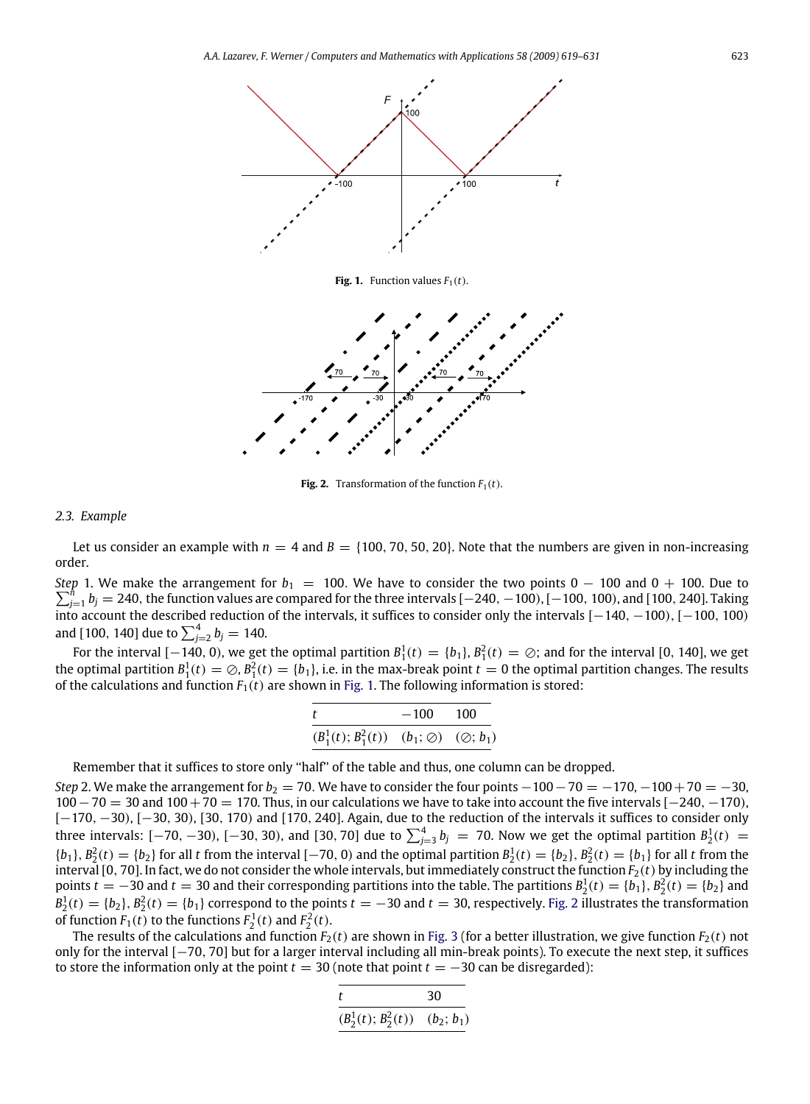<span id="page-4-1"></span>

**Fig. 1.** Function values  $F_1(t)$ .

<span id="page-4-2"></span>

**Fig. 2.** Transformation of the function  $F_1(t)$ .

#### <span id="page-4-0"></span>*2.3. Example*

Let us consider an example with  $n = 4$  and  $B = \{100, 70, 50, 20\}$ . Note that the numbers are given in non-increasing order.

*Step* 1. We make the arrangement for  $b_1 = 100$ . We have to consider the two points 0  $-$  100 and 0  $+$  100. Due to *f*<sub>j=1</sub> *b<sub>j</sub>* = 240, the function values are compared for the three intervals [−240, −100), [−100, 100), and [100, 240]. Taking into account the described reduction of the intervals, it suffices to consider only the intervals [−140, −100), [−100, 100) and [100, 140] due to  $\sum_{j=2}^{4} b_j = 140$ .

For the interval [−140, 0), we get the optimal partition  $B_1^1(t) = \{b_1\}$ ,  $B_1^2(t) = \oslash$ ; and for the interval [0, 140], we get the optimal partition  $B_1^1(t) = \emptyset$ ,  $B_1^2(t) = \{b_1\}$ , i.e. in the max-break point  $t = 0$  the optimal partition changes. The results of the calculations and function  $F_1(t)$  are shown in [Fig. 1.](#page-4-1) The following information is stored:

| t                                                        | $-100$ 100 |  |
|----------------------------------------------------------|------------|--|
| $(B_1^1(t); B_1^2(t))$ $(b_1; \oslash)$ $(\oslash; b_1)$ |            |  |

Remember that it suffices to store only ''half'' of the table and thus, one column can be dropped.

*Step* 2. We make the arrangement for  $b_2 = 70$ . We have to consider the four points  $-100-70 = -170$ ,  $-100+70 = -30$ , 100−70 = 30 and 100+70 = 170. Thus, in our calculations we have to take into account the five intervals [−240, −170), [-170, -30), [-30, 30), [30, 170) and [170, 240]. Again, due to the reduction of the intervals it suffices to consider only three intervals: [−70, −30), [−30, 30), and [30, 70] due to  $\sum_{j=3}^{4} b_j$  = 70. Now we get the optimal partition  $B_2^1(t)$  =  ${b_1}, B_2^2(t) = {b_2}$  for all *t* from the interval [−70, 0) and the optimal partition  $B_2^1(t) = {b_2}, B_2^2(t) = {b_1}$  for all *t* from the interval [0, 70]. In fact, we do not consider the whole intervals, but immediately construct the function  $F_2(t)$  by including the points  $t = -30$  and  $t = 30$  and their corresponding partitions into the table. The partitions  $B_2^1(t) = \{b_1\}, B_2^2(t) = \{b_2\}$  and  $B_2^1(t) = \{b_2\}, B_2^2(t) = \{b_1\}$  correspond to the points  $t = -30$  and  $t = 30$ , respectively. [Fig. 2](#page-4-2) illustrates the transformation of function  $F_1(t)$  to the functions  $F_2^1(t)$  and  $F_2^2(t)$ .

The results of the calculations and function  $F_2(t)$  are shown in [Fig. 3](#page-5-1) (for a better illustration, we give function  $F_2(t)$  not only for the interval [−70, 70] but for a larger interval including all min-break points). To execute the next step, it suffices to store the information only at the point  $t = 30$  (note that point  $t = -30$  can be disregarded):

$$
\frac{t}{(B_2^1(t);B_2^2(t))} \frac{30}{(b_2;b_1)}
$$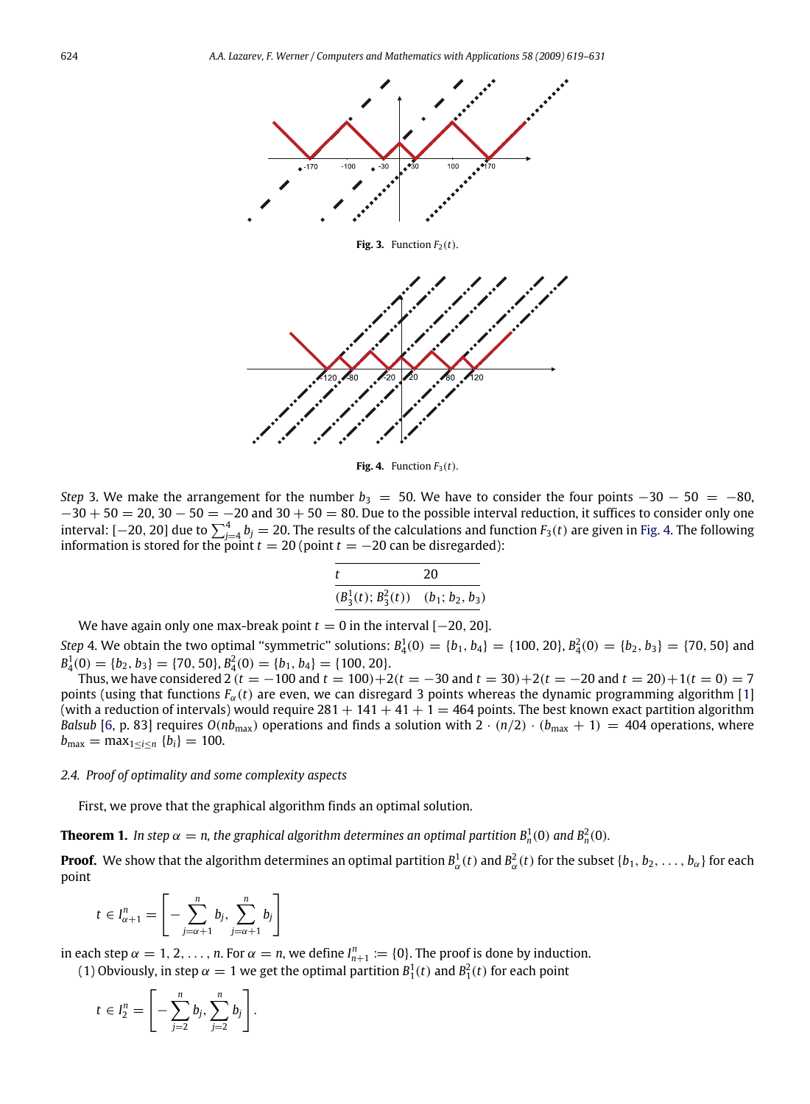<span id="page-5-1"></span>

**Fig. 3.** Function  $F_2(t)$ .

<span id="page-5-2"></span>

**Fig. 4.** Function  $F_3(t)$ .

*Step* 3. We make the arrangement for the number  $b_3 = 50$ . We have to consider the four points  $-30 - 50 = -80$ ,  $-30 + 50 = 20$ ,  $30 - 50 = -20$  and  $30 + 50 = 80$ . Due to the possible interval reduction, it suffices to consider only one interval: [ $-20$ , 20] due to  $\sum_{j=4}^4 b_j=20$ . The results of the calculations and function  $F_3(t)$  are given in [Fig. 4.](#page-5-2) The following information is stored for the point  $t = 20$  (point  $t = -20$  can be disregarded):

|                                          | 20 |
|------------------------------------------|----|
| $(B_3^1(t); B_3^2(t))$ $(b_1; b_2, b_3)$ |    |

We have again only one max-break point  $t = 0$  in the interval  $[-20, 20]$ .

*Step* 4. We obtain the two optimal "symmetric" solutions:  $B_4^1(0) = \{b_1, b_4\} = \{100, 20\}, B_4^2(0) = \{b_2, b_3\} = \{70, 50\}$  and  $B_4^1(0) = \{b_2, b_3\} = \{70, 50\}, B_4^2(0) = \{b_1, b_4\} = \{100, 20\}.$ 

Thus, we have considered 2 ( $t = -100$  and  $t = 100$ ) + 2( $t = -30$  and  $t = 30$ ) + 2( $t = -20$  and  $t = 20$ ) + 1( $t = 0$ ) = 7 points (using that functions  $F_\alpha(t)$  are even, we can disregard 3 points whereas the dynamic programming algorithm [\[1\]](#page-12-0) (with a reduction of intervals) would require  $281 + 141 + 41 + 1 = 464$  points. The best known exact partition algorithm *Balsub* [\[6,](#page-12-3) p. 83] requires  $O(nb_{max})$  operations and finds a solution with  $2 \cdot (n/2) \cdot (b_{max} + 1) = 404$  operations, where *b*<sub>max</sub> = max<sub>1≤*i*≤*n*</sub> {*b*<sub>*i*</sub>} = 100.

#### <span id="page-5-0"></span>*2.4. Proof of optimality and some complexity aspects*

First, we prove that the graphical algorithm finds an optimal solution.

**Theorem 1.** In step  $\alpha = n$ , the graphical algorithm determines an optimal partition  $B_n^1(0)$  and  $B_n^2(0)$ .

**Proof.** We show that the algorithm determines an optimal partition  $B^1_\alpha(t)$  and  $B^2_\alpha(t)$  for the subset  $\{b_1,b_2,\ldots,b_\alpha\}$  for each point

$$
t \in I_{\alpha+1}^n = \left[ -\sum_{j=\alpha+1}^n b_j, \sum_{j=\alpha+1}^n b_j \right]
$$

in each step  $\alpha = 1, 2, ..., n$ . For  $\alpha = n$ , we define  $I_{n+1}^n := \{0\}$ . The proof is done by induction.

(1) Obviously, in step  $\alpha = 1$  we get the optimal partition  $B_1^1(t)$  and  $B_1^2(t)$  for each point

$$
t\in I_2^n=\left[-\sum_{j=2}^n b_j,\sum_{j=2}^n b_j\right].
$$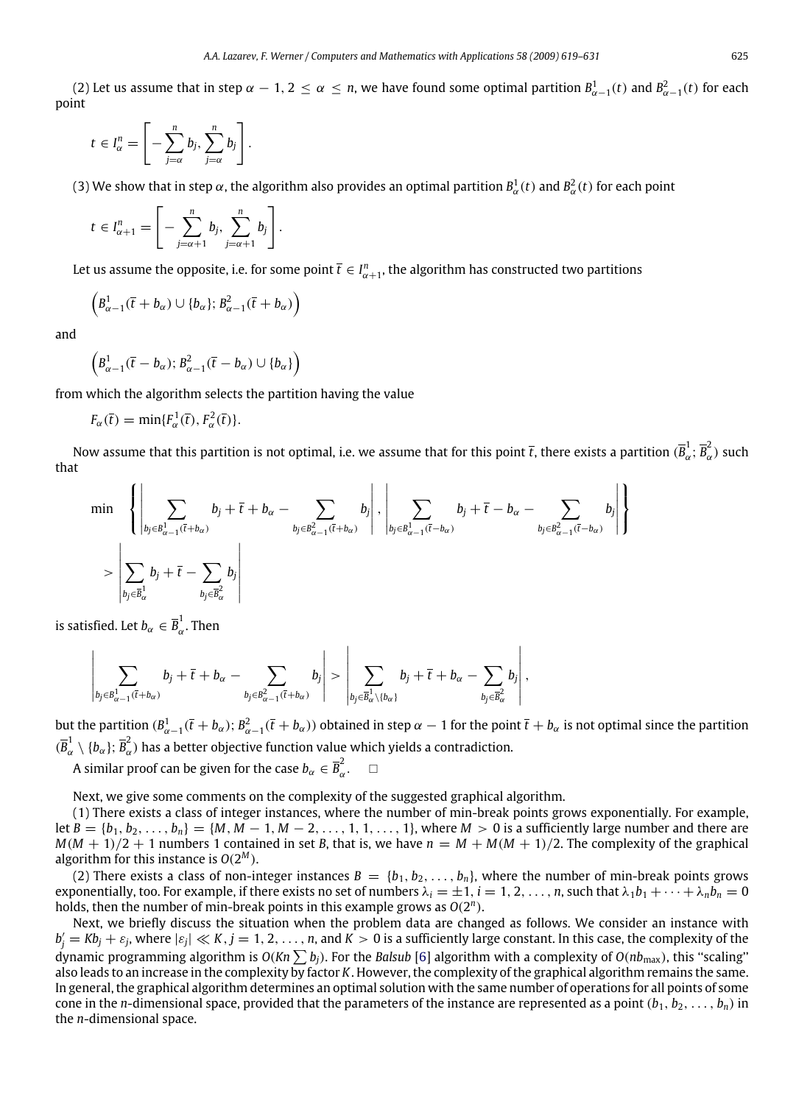(2) Let us assume that in step  $\alpha - 1$ ,  $2 \le \alpha \le n$ , we have found some optimal partition  $B^1_{\alpha-1}(t)$  and  $B^2_{\alpha-1}(t)$  for each point

$$
t\in I^n_\alpha=\left[-\sum_{j=\alpha}^n b_j,\sum_{j=\alpha}^n b_j\right].
$$

(3) We show that in step  $\alpha$ , the algorithm also provides an optimal partition  $B^1_\alpha(t)$  and  $B^2_\alpha(t)$  for each point

$$
t\in I_{\alpha+1}^n=\left[-\sum_{j=\alpha+1}^n b_j,\sum_{j=\alpha+1}^n b_j\right].
$$

Let us assume the opposite, i.e. for some point  $\bar{t}\in I_{\alpha+1}^n,$  the algorithm has constructed two partitions

$$
\left(B_{\alpha-1}^1(\bar{t}+b_{\alpha})\cup\{b_{\alpha}\};B_{\alpha-1}^2(\bar{t}+b_{\alpha})\right)
$$

and

$$
\left(B_{\alpha-1}^1(\bar{t}-b_{\alpha});B_{\alpha-1}^2(\bar{t}-b_{\alpha})\cup\{b_{\alpha}\}\right)
$$

from which the algorithm selects the partition having the value

$$
F_{\alpha}(\bar{t}) = \min\{F_{\alpha}^1(\bar{t}), F_{\alpha}^2(\bar{t})\}.
$$

Now assume that this partition is not optimal, i.e. we assume that for this point  $\bar t$ , there exists a partition  $(\bar B_d^{\dagger}$  $\overline{B}_{\alpha}^{1}$ ;  $\overline{B}_{\alpha}^{2}$  $\int_{\alpha}^{\infty}$ ) such that

$$
\min \left\{ \left| \sum_{b_j \in B_{\alpha-1}^1(\bar{t} + b_{\alpha})} b_j + \bar{t} + b_{\alpha} - \sum_{b_j \in B_{\alpha-1}^2(\bar{t} + b_{\alpha})} b_j \right|, \left| \sum_{b_j \in B_{\alpha-1}^1(\bar{t} - b_{\alpha})} b_j + \bar{t} - b_{\alpha} - \sum_{b_j \in B_{\alpha-1}^2(\bar{t} - b_{\alpha})} b_j \right| \right\}
$$
\n
$$
> \left| \sum_{b_j \in \bar{B}_{\alpha}^1} b_j + \bar{t} - \sum_{b_j \in \bar{B}_{\alpha}^2} b_j \right|
$$

is satisfied. Let  $b_\alpha \in \overline{B}_\alpha^1$  $\alpha$ . Then

$$
\left|\sum_{b_j\in B_{\alpha-1}^1(\bar{t}+b_\alpha)}b_j+\bar{t}+b_\alpha-\sum_{b_j\in B_{\alpha-1}^2(\bar{t}+b_\alpha)}b_j\right|>\left|\sum_{b_j\in \overline{B}_{\alpha}^1\setminus\{b_\alpha\}}b_j+\bar{t}+b_\alpha-\sum_{b_j\in \overline{B}_{\alpha}^2}b_j\right|,
$$

but the partition  $(B_{\alpha-1}^1(\bar{t}+b_\alpha); B_{\alpha-1}^2(\bar{t}+b_\alpha)$  obtained in step  $\alpha-1$  for the point  $\bar{t}+b_\alpha$  is not optimal since the partition  $(\overline{B}_{\alpha}^1)$  $\frac{1}{\alpha}\setminus\{b_\alpha\};\,\overline{B}_\alpha^2$  $\tilde{\alpha}$ ) has a better objective function value which yields a contradiction.

A similar proof can be given for the case  $b_\alpha \in \overline{B}_\alpha^2$  $\frac{2}{\alpha}$ .  $\Box$ 

Next, we give some comments on the complexity of the suggested graphical algorithm.

(1) There exists a class of integer instances, where the number of min-break points grows exponentially. For example, let  $B = \{b_1, b_2, \ldots, b_n\} = \{M, M - 1, M - 2, \ldots, 1, 1, \ldots, 1\}$ , where  $M > 0$  is a sufficiently large number and there are  $M(M + 1)/2 + 1$  numbers 1 contained in set *B*, that is, we have  $n = M + M(M + 1)/2$ . The complexity of the graphical algorithm for this instance is  $O(2^M)$ .

(2) There exists a class of non-integer instances  $B = \{b_1, b_2, \ldots, b_n\}$ , where the number of min-break points grows exponentially, too. For example, if there exists no set of numbers  $\lambda_i = \pm 1, i = 1, 2, \ldots, n$ , such that  $\lambda_1 b_1 + \cdots + \lambda_n b_n = 0$ holds, then the number of min-break points in this example grows as *O*(2 *n* ).

Next, we briefly discuss the situation when the problem data are changed as follows. We consider an instance with  $b'_j = Kb_j + \varepsilon_j$ , where  $|\varepsilon_j| \ll K$ ,  $j = 1, 2, ..., n$ , and  $K > 0$  is a sufficiently large constant. In this case, the complexity of the dynamic programming algorithm is  $O(Kn\sum b_i)$ . For the *Balsub* [\[6\]](#page-12-3) algorithm with a complexity of  $O(n b_{\text{max}})$ , this "scaling" also leads to an increase in the complexity by factor *K*. However, the complexity of the graphical algorithm remains the same. In general, the graphical algorithm determines an optimal solution with the same number of operations for all points of some cone in the *n*-dimensional space, provided that the parameters of the instance are represented as a point  $(b_1, b_2, \ldots, b_n)$  in the *n*-dimensional space.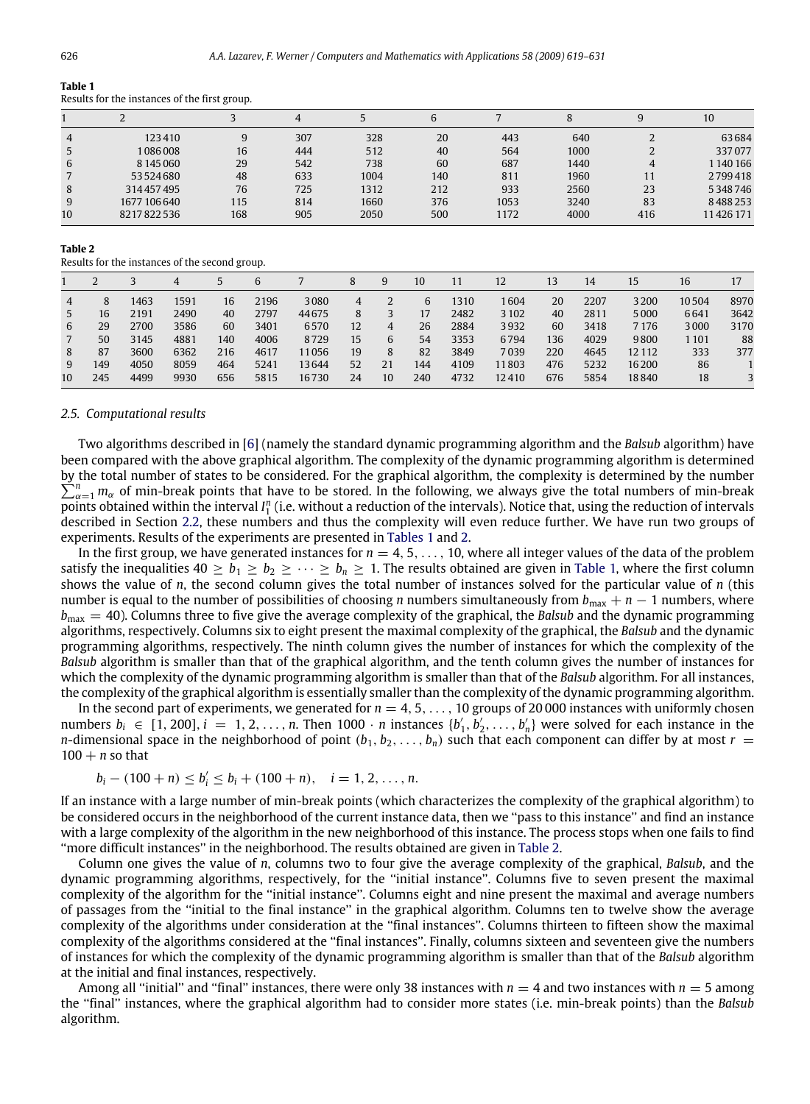| таше т |                                               |  |
|--------|-----------------------------------------------|--|
|        | Results for the instances of the first group. |  |

|    |              |     |     |      | b   |      |      |     | 10       |
|----|--------------|-----|-----|------|-----|------|------|-----|----------|
| 4  | 123410       | 9   | 307 | 328  | 20  | 443  | 640  |     | 63684    |
|    | 1086008      | 16  | 444 | 512  | 40  | 564  | 1000 |     | 337077   |
| 6  | 8 145 060    | 29  | 542 | 738  | 60  | 687  | 1440 | 4   | 1140166  |
|    | 53524680     | 48  | 633 | 1004 | 140 | 811  | 1960 | 11  | 2799418  |
| 8  | 314457495    | 76  | 725 | 1312 | 212 | 933  | 2560 | 23  | 5348746  |
| 9  | 1677 106 640 | 115 | 814 | 1660 | 376 | 1053 | 3240 | 83  | 8488253  |
| 10 | 8217822536   | 168 | 905 | 2050 | 500 | 1172 | 4000 | 416 | 11426171 |

#### <span id="page-7-2"></span>**Table 2**

Results for the instances of the second group.

|    |     |      | 4    |     | 6    |       |    | 9  | 10  |      | 12      | 13  | 14   | 15      | 16    |      |
|----|-----|------|------|-----|------|-------|----|----|-----|------|---------|-----|------|---------|-------|------|
| 4  | 8   | 1463 | 1591 | 16  | 2196 | 3080  | 4  |    | 6   | 1310 | 1604    | 20  | 2207 | 3200    | 10504 | 8970 |
|    | 16  | 2191 | 2490 | 40  | 2797 | 44675 | 8  |    | 17  | 2482 | 3 1 0 2 | 40  | 2811 | 5000    | 6641  | 3642 |
| 6  | 29  | 2700 | 3586 | 60  | 3401 | 6570  | 12 | 4  | 26  | 2884 | 3932    | 60  | 3418 | 7 1 7 6 | 3000  | 3170 |
|    | 50  | 3145 | 4881 | 140 | 4006 | 8729  | 15 | 6  | 54  | 3353 | 6794    | 136 | 4029 | 9800    | 1 101 | 88   |
| 8  | 87  | 3600 | 6362 | 216 | 4617 | 11056 | 19 | 8  | 82  | 3849 | 7039    | 220 | 4645 | 12 1 12 | 333   | 377  |
| 9. | 149 | 4050 | 8059 | 464 | 5241 | 13644 | 52 | 21 | 144 | 4109 | 11803   | 476 | 5232 | 16 200  | 86    |      |
| 10 | 245 | 4499 | 9930 | 656 | 5815 | 16730 | 24 | 10 | 240 | 4732 | 12410   | 676 | 5854 | 18840   | 18    |      |

#### <span id="page-7-0"></span>*2.5. Computational results*

Two algorithms described in [\[6\]](#page-12-3) (namely the standard dynamic programming algorithm and the *Balsub* algorithm) have been compared with the above graphical algorithm. The complexity of the dynamic programming algorithm is determined by the total number of states to be considered. For the graphical algorithm, the complexity is determined by the number  $\sum_{\alpha=1}^n m_\alpha$  of min-break points that have to be stored. In the following, we always give the total numbers of min-break points obtained within the interval *I*<sup>n</sup><sub>1</sub> (i.e. without a reduction of the intervals). Notice that, using the reduction of intervals described in Section [2.2,](#page-3-0) these numbers and thus the complexity will even reduce further. We have run two groups of experiments. Results of the experiments are presented in [Tables 1](#page-7-1) and [2.](#page-7-2)

In the first group, we have generated instances for  $n = 4, 5, ..., 10$ , where all integer values of the data of the problem satisfy the inequalities  $40 > b_1 > b_2 > \cdots > b_n > 1$ . The results obtained are given in [Table 1,](#page-7-1) where the first column shows the value of *n*, the second column gives the total number of instances solved for the particular value of *n* (this number is equal to the number of possibilities of choosing *n* numbers simultaneously from  $b_{\text{max}}$  + *n* − 1 numbers, where  $b_{\text{max}} = 40$ ). Columns three to five give the average complexity of the graphical, the *Balsub* and the dynamic programming algorithms, respectively. Columns six to eight present the maximal complexity of the graphical, the *Balsub* and the dynamic programming algorithms, respectively. The ninth column gives the number of instances for which the complexity of the *Balsub* algorithm is smaller than that of the graphical algorithm, and the tenth column gives the number of instances for which the complexity of the dynamic programming algorithm is smaller than that of the *Balsub* algorithm. For all instances, the complexity of the graphical algorithm is essentially smaller than the complexity of the dynamic programming algorithm.

In the second part of experiments, we generated for  $n = 4, 5, \ldots, 10$  groups of 20 000 instances with uniformly chosen numbers  $b_i \in [1, 200], i = 1, 2, \ldots, n$ . Then 1000 · *n* instances  $\{b'_1, b'_2, \ldots, b'_n\}$  were solved for each instance in the *n*-dimensional space in the neighborhood of point  $(b_1, b_2, \ldots, b_n)$  such that each component can differ by at most  $r =$  $100 + n$  so that

$$
b_i - (100 + n) \le b'_i \le b_i + (100 + n), \quad i = 1, 2, ..., n.
$$

If an instance with a large number of min-break points (which characterizes the complexity of the graphical algorithm) to be considered occurs in the neighborhood of the current instance data, then we ''pass to this instance'' and find an instance with a large complexity of the algorithm in the new neighborhood of this instance. The process stops when one fails to find ''more difficult instances'' in the neighborhood. The results obtained are given in [Table 2.](#page-7-2)

Column one gives the value of *n*, columns two to four give the average complexity of the graphical, *Balsub*, and the dynamic programming algorithms, respectively, for the ''initial instance''. Columns five to seven present the maximal complexity of the algorithm for the ''initial instance''. Columns eight and nine present the maximal and average numbers of passages from the ''initial to the final instance'' in the graphical algorithm. Columns ten to twelve show the average complexity of the algorithms under consideration at the ''final instances''. Columns thirteen to fifteen show the maximal complexity of the algorithms considered at the ''final instances''. Finally, columns sixteen and seventeen give the numbers of instances for which the complexity of the dynamic programming algorithm is smaller than that of the *Balsub* algorithm at the initial and final instances, respectively.

Among all "initial" and "final" instances, there were only 38 instances with  $n = 4$  and two instances with  $n = 5$  among the ''final'' instances, where the graphical algorithm had to consider more states (i.e. min-break points) than the *Balsub* algorithm.

<span id="page-7-1"></span>**Table 1**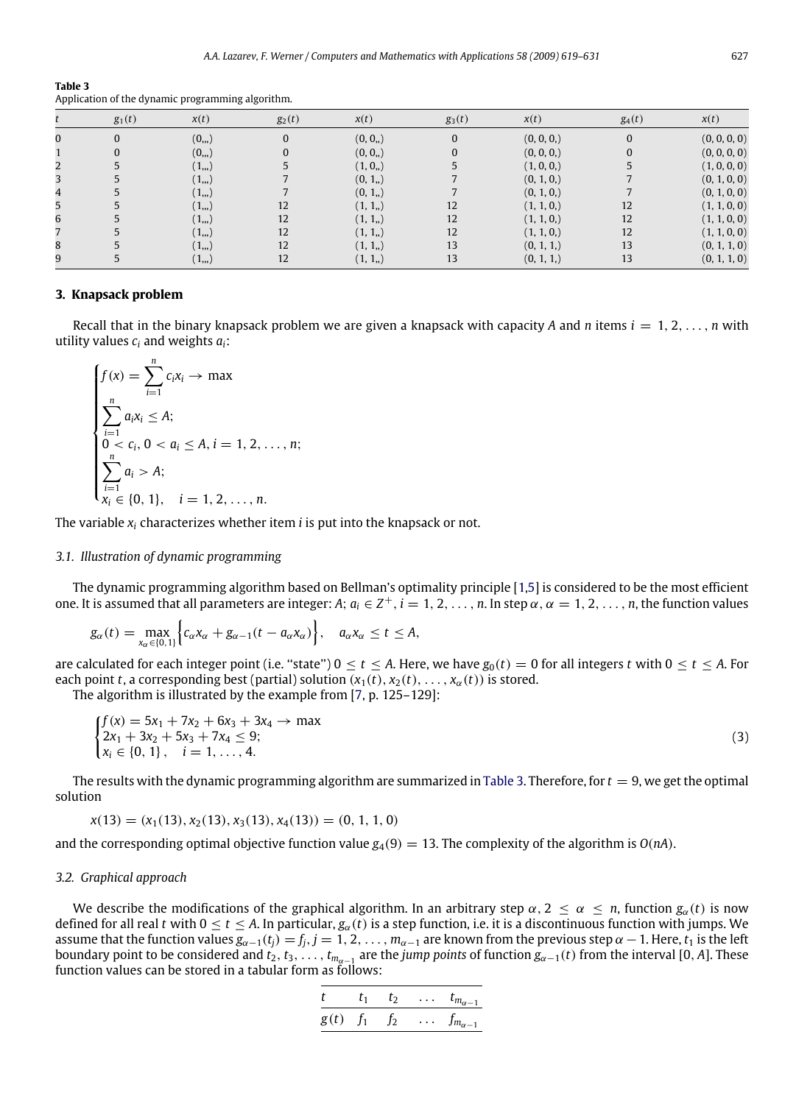<span id="page-8-3"></span>

| Table 3                                           |
|---------------------------------------------------|
| Application of the dynamic programming algorithm. |

|   | $g_1(t)$ | x(t)      | $g_2(t)$ | x(t)     | $g_3(t)$ | x(t)         | $g_4(t)$ | x(t)         |
|---|----------|-----------|----------|----------|----------|--------------|----------|--------------|
| 0 | $\Omega$ | (0, 0)    |          | (0, 0, ) |          | (0, 0, 0, 0) | $\Omega$ | (0, 0, 0, 0) |
|   |          | $(0_{n})$ |          | (0, 0, ) |          | (0, 0, 0, 0) | 0        | (0, 0, 0, 0) |
|   |          | $(1_{n})$ |          | (1, 0, ) |          | (1, 0, 0, )  |          | (1, 0, 0, 0) |
| 3 |          | $(1_{n})$ |          | (0, 1, ) |          | (0, 1, 0)    |          | (0, 1, 0, 0) |
| 4 |          | $(1_{n})$ |          | (0, 1, ) |          | (0, 1, 0, )  |          | (0, 1, 0, 0) |
| 5 |          | $(1_{n})$ | 12       | (1, 1, ) | 12       | (1, 1, 0, )  | 12       | (1, 1, 0, 0) |
| 6 |          | $(1_{n})$ | 12       | (1, 1, ) | 12       | (1, 1, 0, )  | 12       | (1, 1, 0, 0) |
|   |          | $(1_{n})$ | 12       | (1, 1, ) | 12       | (1, 1, 0, )  | 12       | (1, 1, 0, 0) |
| 8 |          | $(1_{n})$ | 12       | (1, 1, ) | 13       | (0, 1, 1)    | 13       | (0, 1, 1, 0) |
| 9 |          | $(1_{n})$ | 12       | (1, 1, ) | 13       | (0, 1, 1)    | 13       | (0, 1, 1, 0) |

### <span id="page-8-0"></span>**3. Knapsack problem**

Recall that in the binary knapsack problem we are given a knapsack with capacity A and n items  $i = 1, 2, \ldots, n$  with utility values *c<sup>i</sup>* and weights *ai*:

$$
\begin{cases}\nf(x) = \sum_{i=1}^{n} c_i x_i \to \max \\
\sum_{i=1}^{n} a_i x_i \le A; \\
0 < c_i, 0 < a_i \le A, i = 1, 2, ..., n; \\
\sum_{i=1}^{n} a_i > A; \\
x_i \in \{0, 1\}, \quad i = 1, 2, ..., n.\n\end{cases}
$$

The variable *x<sup>i</sup>* characterizes whether item *i* is put into the knapsack or not.

## <span id="page-8-1"></span>*3.1. Illustration of dynamic programming*

The dynamic programming algorithm based on Bellman's optimality principle [\[1](#page-12-0)[,5\]](#page-12-4) is considered to be the most efficient one. It is assumed that all parameters are integer: A;  $a_i \in Z^+, i = 1, 2, \ldots, n$ . In step  $\alpha, \alpha = 1, 2, \ldots, n$ , the function values

$$
g_{\alpha}(t)=\max_{x_{\alpha}\in\{0,1\}}\Big\{c_{\alpha}x_{\alpha}+g_{\alpha-1}(t-a_{\alpha}x_{\alpha})\Big\},\quad a_{\alpha}x_{\alpha}\leq t\leq A,
$$

are calculated for each integer point (i.e. "state")  $0 \le t \le A$ . Here, we have  $g_0(t) = 0$  for all integers *t* with  $0 \le t \le A$ . For each point *t*, a corresponding best (partial) solution  $(x_1(t), x_2(t), \ldots, x_\alpha(t))$  is stored.

The algorithm is illustrated by the example from [\[7,](#page-12-5) p. 125–129]:

$$
\begin{cases}\nf(x) = 5x_1 + 7x_2 + 6x_3 + 3x_4 \to \max \\
2x_1 + 3x_2 + 5x_3 + 7x_4 \le 9; \\
x_i \in \{0, 1\}, \quad i = 1, \dots, 4.\n\end{cases}
$$
\n(3)

The results with the dynamic programming algorithm are summarized in [Table 3.](#page-8-3) Therefore, for  $t = 9$ , we get the optimal solution

$$
x(13) = (x_1(13), x_2(13), x_3(13), x_4(13)) = (0, 1, 1, 0)
$$

and the corresponding optimal objective function value  $g_4(9) = 13$ . The complexity of the algorithm is  $O(nA)$ .

### <span id="page-8-2"></span>*3.2. Graphical approach*

We describe the modifications of the graphical algorithm. In an arbitrary step  $\alpha$ ,  $2 \le \alpha \le n$ , function  $g_{\alpha}(t)$  is now defined for all real *t* with  $0 \le t \le A$ . In particular,  $g_\alpha(t)$  is a step function, i.e. it is a discontinuous function with jumps. We assume that the function values  $g_{\alpha-1}(t_i) = f_i$ ,  $j = 1, 2, ..., m_{\alpha-1}$  are known from the previous step  $\alpha - 1$ . Here,  $t_1$  is the left boundary point to be considered and  $t_2, t_3, \ldots, t_{m_{\alpha-1}}$  are the *jump points* of function  $g_{\alpha-1}(t)$  from the interval [0, *A*]. These function values can be stored in a tabular form as follows:

$$
\frac{t}{g(t)} \quad \frac{t_1}{f_1} \quad \frac{t_2}{f_2} \quad \ldots \quad \frac{t_{m_{\alpha-1}}}{f_{m_{\alpha-1}}}
$$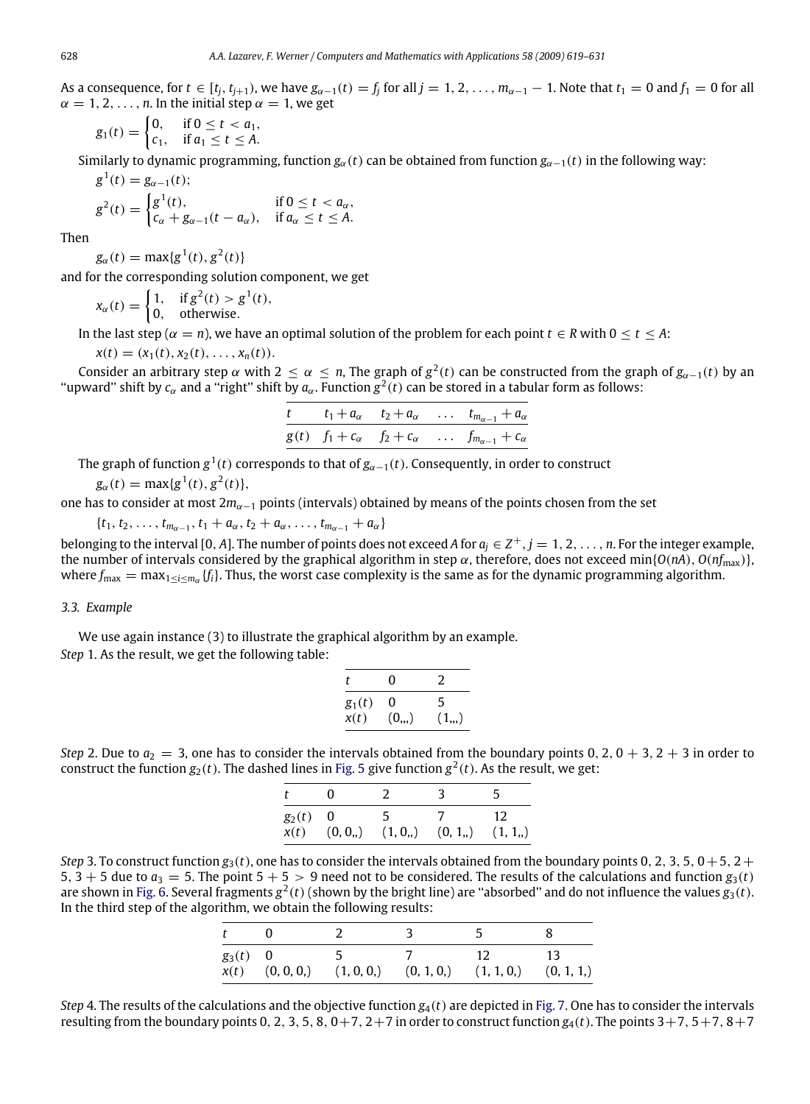As a consequence, for  $t \in [t_j, t_{j+1})$ , we have  $g_{\alpha-1}(t) = f_j$  for all  $j = 1, 2, ..., m_{\alpha-1} - 1$ . Note that  $t_1 = 0$  and  $f_1 = 0$  for all  $\alpha = 1, 2, \ldots, n$ . In the initial step  $\alpha = 1$ , we get

$$
g_1(t) = \begin{cases} 0, & \text{if } 0 \le t < a_1, \\ c_1, & \text{if } a_1 \le t \le A. \end{cases}
$$

Similarly to dynamic programming, function  $g_\alpha(t)$  can be obtained from function  $g_{\alpha-1}(t)$  in the following way:

$$
g^{1}(t) = g_{\alpha-1}(t);
$$
  
\n
$$
g^{2}(t) = \begin{cases} g^{1}(t), & \text{if } 0 \leq t < a_{\alpha}, \\ c_{\alpha} + g_{\alpha-1}(t - a_{\alpha}), & \text{if } a_{\alpha} \leq t \leq A. \end{cases}
$$

Then

$$
g_{\alpha}(t) = \max\{g^1(t), g^2(t)\}\
$$

and for the corresponding solution component, we get

$$
x_{\alpha}(t) = \begin{cases} 1, & \text{if } g^2(t) > g^1(t), \\ 0, & \text{otherwise.} \end{cases}
$$

In the last step ( $\alpha = n$ ), we have an optimal solution of the problem for each point  $t \in R$  with  $0 \le t \le A$ :

$$
x(t)=(x_1(t),x_2(t),\ldots,x_n(t)).
$$

Consider an arbitrary step  $\alpha$  with 2  $\leq \alpha \leq n$ , The graph of  $g^2(t)$  can be constructed from the graph of  $g_{\alpha-1}(t)$  by an "upward" shift by  $c_\alpha$  and a "right" shift by  $a_\alpha$ . Function  $g^2(t)$  can be stored in a tabular form as follows:

|  |  | $t$ $t_1 + a_\alpha$ $t_2 + a_\alpha$ $t_{m_{\alpha-1}} + a_\alpha$          |
|--|--|------------------------------------------------------------------------------|
|  |  | $g(t)$ $f_1 + c_{\alpha}$ $f_2 + c_{\alpha}$ $f_{m_{\alpha-1}} + c_{\alpha}$ |

The graph of function  $g^1(t)$  corresponds to that of  $g_{\alpha -1}(t)$ . Consequently, in order to construct

 $g_{\alpha}(t) = \max\{g^1(t), g^2(t)\},\$ 

one has to consider at most 2*m*α−<sup>1</sup> points (intervals) obtained by means of the points chosen from the set

$$
\{t_1, t_2, \ldots, t_{m_{\alpha-1}}, t_1 + a_{\alpha}, t_2 + a_{\alpha}, \ldots, t_{m_{\alpha-1}} + a_{\alpha}\}\
$$

belonging to the interval [0, A]. The number of points does not exceed A for  $a_j \in Z^+, j = 1, 2, \ldots, n$ . For the integer example, the number of intervals considered by the graphical algorithm in step  $\alpha$ , therefore, does not exceed min{ $O(nA)$ ,  $O(nf_{\text{max}})$ }, where  $f_{\max} = \max_{1 \le i \le m_\alpha} \{f_i\}$ . Thus, the worst case complexity is the same as for the dynamic programming algorithm.

### <span id="page-9-0"></span>*3.3. Example*

We use again instance (3) to illustrate the graphical algorithm by an example. *Step* 1. As the result, we get the following table:

| t        | O          | 2         |
|----------|------------|-----------|
| $g_1(t)$ | 0          | 5         |
| x(t)     | $(0_{,1})$ | $(1_{n})$ |

*Step* 2. Due to  $a_2 = 3$ , one has to consider the intervals obtained from the boundary points 0, 2, 0 + 3, 2 + 3 in order to construct the function  $g_2(t)$ . The dashed lines in [Fig. 5](#page-10-1) give function  $g^2(t)$ . As the result, we get:

| $g_2(t) = 0$ |                                                    | 12. |
|--------------|----------------------------------------------------|-----|
|              | $x(t)$ $(0, 0_n)$ $(1, 0_n)$ $(0, 1_n)$ $(1, 1_n)$ |     |

*Step* 3. To construct function  $g_3(t)$ , one has to consider the intervals obtained from the boundary points 0, 2, 3, 5, 0+5, 2+ 5, 3 + 5 due to  $a_3 = 5$ . The point  $5 + 5 > 9$  need not to be considered. The results of the calculations and function  $g_3(t)$ are shown in [Fig. 6.](#page-10-2) Several fragments  $g^2(t)$  (shown by the bright line) are "absorbed" and do not influence the values  $g_3(t)$ . In the third step of the algorithm, we obtain the following results:

| $g_3(t) = 0$ | $-5$<br>$x(t)$ (0, 0, 0,) (1, 0, 0,) (0, 1, 0,) (1, 1, 0,) (0, 1, 1,) | $\frac{12}{2}$ |  |
|--------------|-----------------------------------------------------------------------|----------------|--|

*Step* 4. The results of the calculations and the objective function *g*4(*t*) are depicted in [Fig. 7.](#page-11-1) One has to consider the intervals resulting from the boundary points 0, 2, 3, 5, 8,  $0+7$ ,  $2+7$  in order to construct function  $g_4(t)$ . The points  $3+7$ ,  $5+7$ ,  $8+7$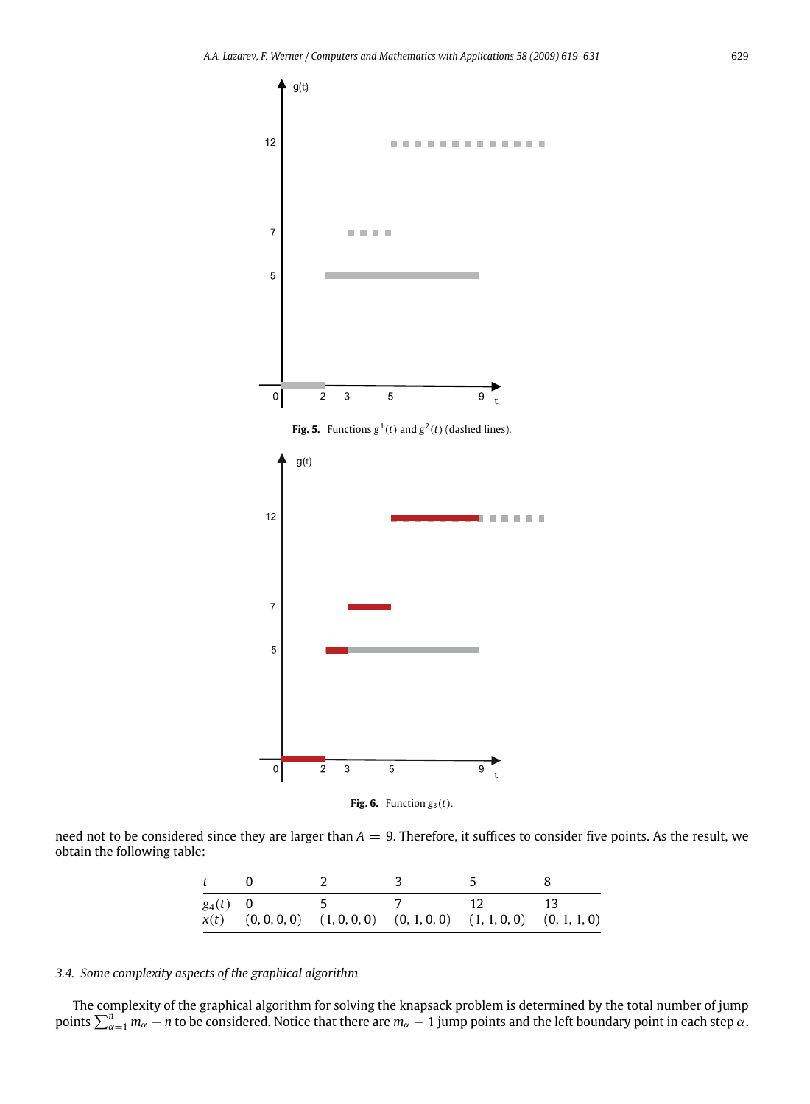<span id="page-10-1"></span>

**Fig. 5.** Functions  $g^1(t)$  and  $g^2(t)$  (dashed lines).

<span id="page-10-2"></span>

**Fig. 6.** Function  $g_3(t)$ .

need not to be considered since they are larger than  $A = 9$ . Therefore, it suffices to consider five points. As the result, we obtain the following table:

| $g_4(t) = 0$ |  |                                                                         |  |
|--------------|--|-------------------------------------------------------------------------|--|
|              |  | $x(t)$ (0, 0, 0, 0) (1, 0, 0, 0) (0, 1, 0, 0) (1, 1, 0, 0) (0, 1, 1, 0) |  |

# <span id="page-10-0"></span>*3.4. Some complexity aspects of the graphical algorithm*

The complexity of the graphical algorithm for solving the knapsack problem is determined by the total number of jump<br>points  $\sum_{\alpha=1}^n m_\alpha - n$  to be considered. Notice that there are  $m_\alpha - 1$  jump points and the left bound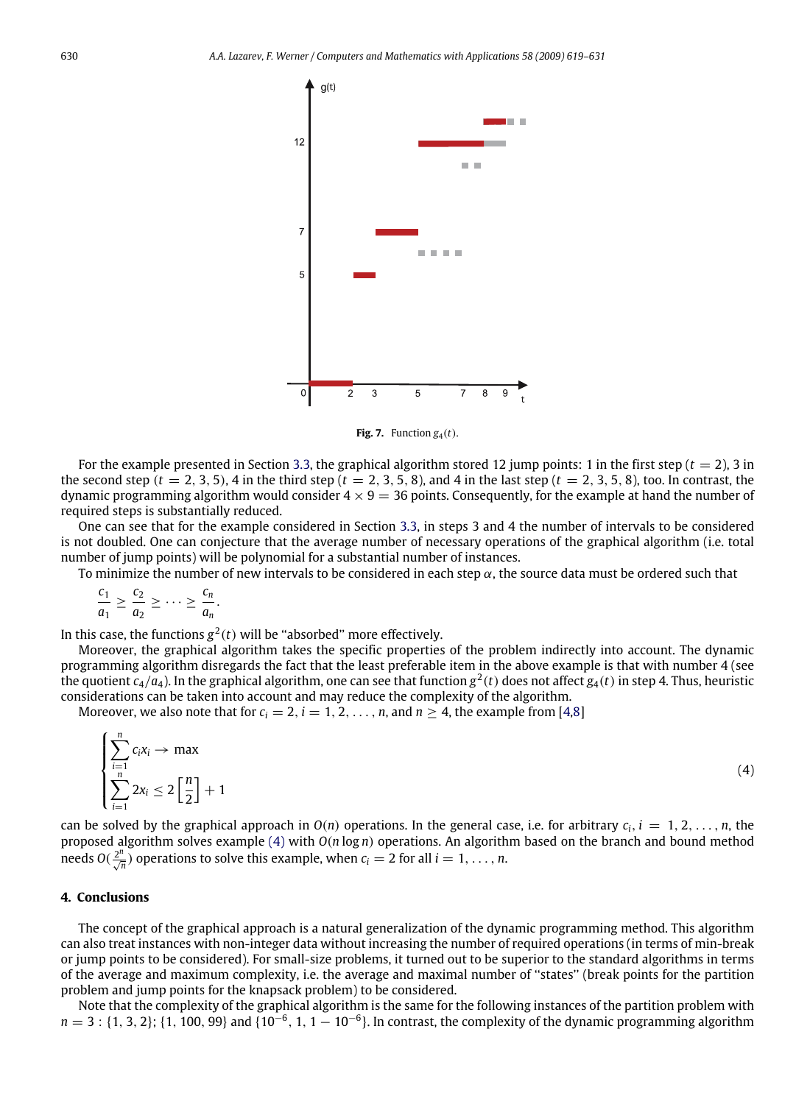<span id="page-11-1"></span>

<span id="page-11-2"></span>Fig. 7. Function  $g_4(t)$ .

For the example presented in Section [3.3,](#page-9-0) the graphical algorithm stored 12 jump points: 1 in the first step  $(t = 2)$ , 3 in the second step ( $t = 2, 3, 5$ ), 4 in the third step ( $t = 2, 3, 5, 8$ ), and 4 in the last step ( $t = 2, 3, 5, 8$ ), too. In contrast, the dynamic programming algorithm would consider  $4 \times 9 = 36$  points. Consequently, for the example at hand the number of required steps is substantially reduced.

One can see that for the example considered in Section [3.3,](#page-9-0) in steps 3 and 4 the number of intervals to be considered is not doubled. One can conjecture that the average number of necessary operations of the graphical algorithm (i.e. total number of jump points) will be polynomial for a substantial number of instances.

To minimize the number of new intervals to be considered in each step  $\alpha$ , the source data must be ordered such that

$$
\frac{c_1}{a_1}\geq \frac{c_2}{a_2}\geq \cdots \geq \frac{c_n}{a_n}.
$$

In this case, the functions  $g^2(t)$  will be "absorbed" more effectively.

Moreover, the graphical algorithm takes the specific properties of the problem indirectly into account. The dynamic programming algorithm disregards the fact that the least preferable item in the above example is that with number 4 (see the quotient *c*4/*a*4). In the graphical algorithm, one can see that function *g* 2 (*t*) does not affect *g*4(*t*) in step 4. Thus, heuristic considerations can be taken into account and may reduce the complexity of the algorithm.

Moreover, we also note that for  $c_i = 2$ ,  $i = 1, 2, \ldots, n$ , and  $n \ge 4$ , the example from [\[4](#page-12-6)[,8\]](#page-12-7)

$$
\begin{cases}\n\sum_{i=1}^{n} c_i x_i \to \max \\
\sum_{i=1}^{n} 2x_i \le 2\left[\frac{n}{2}\right] + 1\n\end{cases} \tag{4}
$$

can be solved by the graphical approach in  $O(n)$  operations. In the general case, i.e. for arbitrary  $c_i$ ,  $i = 1, 2, \ldots, n$ , the proposed algorithm solves example [\(4\)](#page-11-2) with *O*(*n* log *n*) operations. An algorithm based on the branch and bound method needs  $O(\frac{2^n}{\sqrt{n}})$  operations to solve this example, when  $c_i = 2$  for all  $i = 1, ..., n$ .

#### <span id="page-11-0"></span>**4. Conclusions**

The concept of the graphical approach is a natural generalization of the dynamic programming method. This algorithm can also treat instances with non-integer data without increasing the number of required operations (in terms of min-break or jump points to be considered). For small-size problems, it turned out to be superior to the standard algorithms in terms of the average and maximum complexity, i.e. the average and maximal number of ''states'' (break points for the partition problem and jump points for the knapsack problem) to be considered.

Note that the complexity of the graphical algorithm is the same for the following instances of the partition problem with  $n = 3$ : {1, 3, 2}; {1, 100, 99} and {10<sup>-6</sup>, 1, 1 – 10<sup>-6</sup>}. In contrast, the complexity of the dynamic programming algorithm